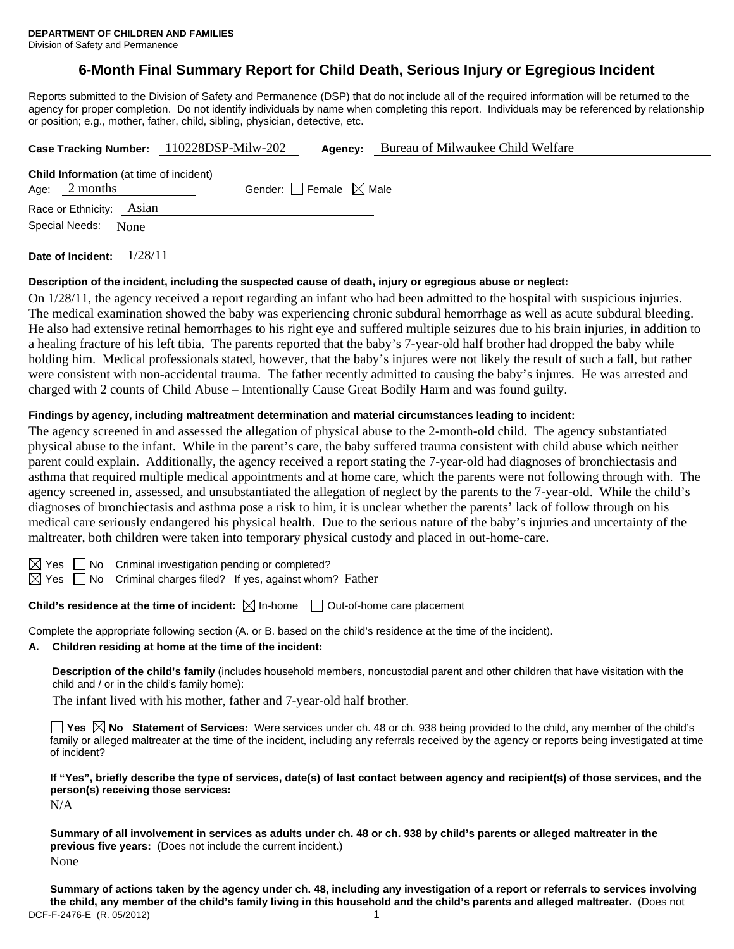# **6-Month Final Summary Report for Child Death, Serious Injury or Egregious Incident**

Reports submitted to the Division of Safety and Permanence (DSP) that do not include all of the required information will be returned to the agency for proper completion. Do not identify individuals by name when completing this report. Individuals may be referenced by relationship or position; e.g., mother, father, child, sibling, physician, detective, etc.

|                                                                   |  | Case Tracking Number: 110228DSP-Milw-202 | Agency: | Bureau of Milwaukee Child Welfare |  |  |
|-------------------------------------------------------------------|--|------------------------------------------|---------|-----------------------------------|--|--|
| <b>Child Information</b> (at time of incident)<br>Age: $2$ months |  | Gender: Female $\boxtimes$ Male          |         |                                   |  |  |
| Race or Ethnicity: Asian                                          |  |                                          |         |                                   |  |  |
| Special Needs: None                                               |  |                                          |         |                                   |  |  |
|                                                                   |  |                                          |         |                                   |  |  |

**Date of Incident:** 1/28/11

#### **Description of the incident, including the suspected cause of death, injury or egregious abuse or neglect:**

On 1/28/11, the agency received a report regarding an infant who had been admitted to the hospital with suspicious injuries. The medical examination showed the baby was experiencing chronic subdural hemorrhage as well as acute subdural bleeding. He also had extensive retinal hemorrhages to his right eye and suffered multiple seizures due to his brain injuries, in addition to a healing fracture of his left tibia. The parents reported that the baby's 7-year-old half brother had dropped the baby while holding him. Medical professionals stated, however, that the baby's injures were not likely the result of such a fall, but rather were consistent with non-accidental trauma. The father recently admitted to causing the baby's injures. He was arrested and charged with 2 counts of Child Abuse – Intentionally Cause Great Bodily Harm and was found guilty.

#### **Findings by agency, including maltreatment determination and material circumstances leading to incident:**

The agency screened in and assessed the allegation of physical abuse to the 2-month-old child. The agency substantiated physical abuse to the infant. While in the parent's care, the baby suffered trauma consistent with child abuse which neither parent could explain. Additionally, the agency received a report stating the 7-year-old had diagnoses of bronchiectasis and asthma that required multiple medical appointments and at home care, which the parents were not following through with. The agency screened in, assessed, and unsubstantiated the allegation of neglect by the parents to the 7-year-old. While the child's diagnoses of bronchiectasis and asthma pose a risk to him, it is unclear whether the parents' lack of follow through on his medical care seriously endangered his physical health. Due to the serious nature of the baby's injuries and uncertainty of the maltreater, both children were taken into temporary physical custody and placed in out-home-care.

| I        |  |
|----------|--|
| ı<br>. . |  |

No Criminal investigation pending or completed?

Yes  $\Box$  No Criminal charges filed? If yes, against whom? Father

**Child's residence at the time of incident:** ⊠ In-home □ Out-of-home care placement

Complete the appropriate following section (A. or B. based on the child's residence at the time of the incident).

#### **A. Children residing at home at the time of the incident:**

**Description of the child's family** (includes household members, noncustodial parent and other children that have visitation with the child and / or in the child's family home):

The infant lived with his mother, father and 7-year-old half brother.

**Yes No Statement of Services:** Were services under ch. 48 or ch. 938 being provided to the child, any member of the child's family or alleged maltreater at the time of the incident, including any referrals received by the agency or reports being investigated at time of incident?

**If "Yes", briefly describe the type of services, date(s) of last contact between agency and recipient(s) of those services, and the person(s) receiving those services:** 

N/A

**Summary of all involvement in services as adults under ch. 48 or ch. 938 by child's parents or alleged maltreater in the previous five years:** (Does not include the current incident.) None

DCF-F-2476-E (R. 05/2012) 1 **Summary of actions taken by the agency under ch. 48, including any investigation of a report or referrals to services involving the child, any member of the child's family living in this household and the child's parents and alleged maltreater.** (Does not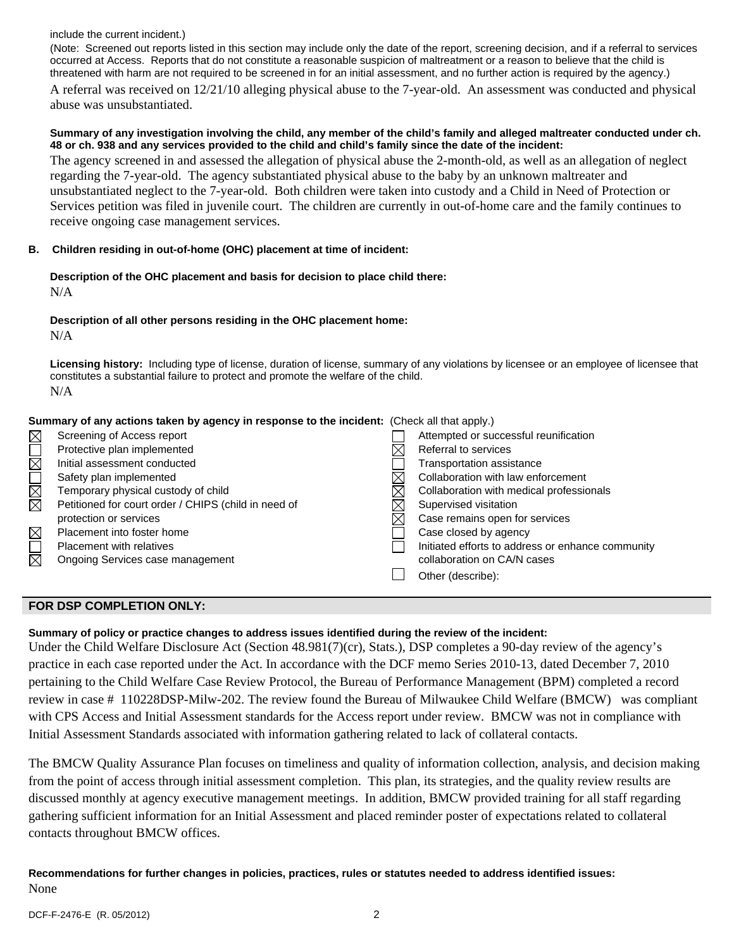include the current incident.)

(Note: Screened out reports listed in this section may include only the date of the report, screening decision, and if a referral to services occurred at Access. Reports that do not constitute a reasonable suspicion of maltreatment or a reason to believe that the child is threatened with harm are not required to be screened in for an initial assessment, and no further action is required by the agency.) A referral was received on 12/21/10 alleging physical abuse to the 7-year-old. An assessment was conducted and physical abuse was unsubstantiated.

#### **Summary of any investigation involving the child, any member of the child's family and alleged maltreater conducted under ch. 48 or ch. 938 and any services provided to the child and child's family since the date of the incident:**

The agency screened in and assessed the allegation of physical abuse the 2-month-old, as well as an allegation of neglect regarding the 7-year-old. The agency substantiated physical abuse to the baby by an unknown maltreater and unsubstantiated neglect to the 7-year-old. Both children were taken into custody and a Child in Need of Protection or Services petition was filed in juvenile court. The children are currently in out-of-home care and the family continues to receive ongoing case management services.

## **B. Children residing in out-of-home (OHC) placement at time of incident:**

### **Description of the OHC placement and basis for decision to place child there:** N/A

### **Description of all other persons residing in the OHC placement home:** N/A

**Licensing history:** Including type of license, duration of license, summary of any violations by licensee or an employee of licensee that constitutes a substantial failure to protect and promote the welfare of the child. N/A

|             | Summary of any actions taken by agency in response to the incident: (Check all that apply.) |  |                                                   |  |
|-------------|---------------------------------------------------------------------------------------------|--|---------------------------------------------------|--|
|             | Screening of Access report                                                                  |  | Attempted or successful reunification             |  |
| MOR         | Protective plan implemented                                                                 |  | Referral to services                              |  |
|             | Initial assessment conducted                                                                |  | Transportation assistance                         |  |
|             | Safety plan implemented                                                                     |  | Collaboration with law enforcement                |  |
|             | Temporary physical custody of child                                                         |  | Collaboration with medical professionals          |  |
| MMOI        | Petitioned for court order / CHIPS (child in need of                                        |  | Supervised visitation                             |  |
|             | protection or services                                                                      |  | Case remains open for services                    |  |
| $\boxtimes$ | Placement into foster home                                                                  |  | Case closed by agency                             |  |
|             | Placement with relatives                                                                    |  | Initiated efforts to address or enhance community |  |
| 反           | Ongoing Services case management                                                            |  | collaboration on CA/N cases                       |  |
|             |                                                                                             |  | Other (describe):                                 |  |

## **FOR DSP COMPLETION ONLY:**

## **Summary of policy or practice changes to address issues identified during the review of the incident:**

Under the Child Welfare Disclosure Act (Section 48.981(7)(cr), Stats.), DSP completes a 90-day review of the agency's practice in each case reported under the Act. In accordance with the DCF memo Series 2010-13, dated December 7, 2010 pertaining to the Child Welfare Case Review Protocol, the Bureau of Performance Management (BPM) completed a record review in case # 110228DSP-Milw-202. The review found the Bureau of Milwaukee Child Welfare (BMCW) was compliant with CPS Access and Initial Assessment standards for the Access report under review. BMCW was not in compliance with Initial Assessment Standards associated with information gathering related to lack of collateral contacts.

The BMCW Quality Assurance Plan focuses on timeliness and quality of information collection, analysis, and decision making from the point of access through initial assessment completion. This plan, its strategies, and the quality review results are discussed monthly at agency executive management meetings. In addition, BMCW provided training for all staff regarding gathering sufficient information for an Initial Assessment and placed reminder poster of expectations related to collateral contacts throughout BMCW offices.

# **Recommendations for further changes in policies, practices, rules or statutes needed to address identified issues:** None